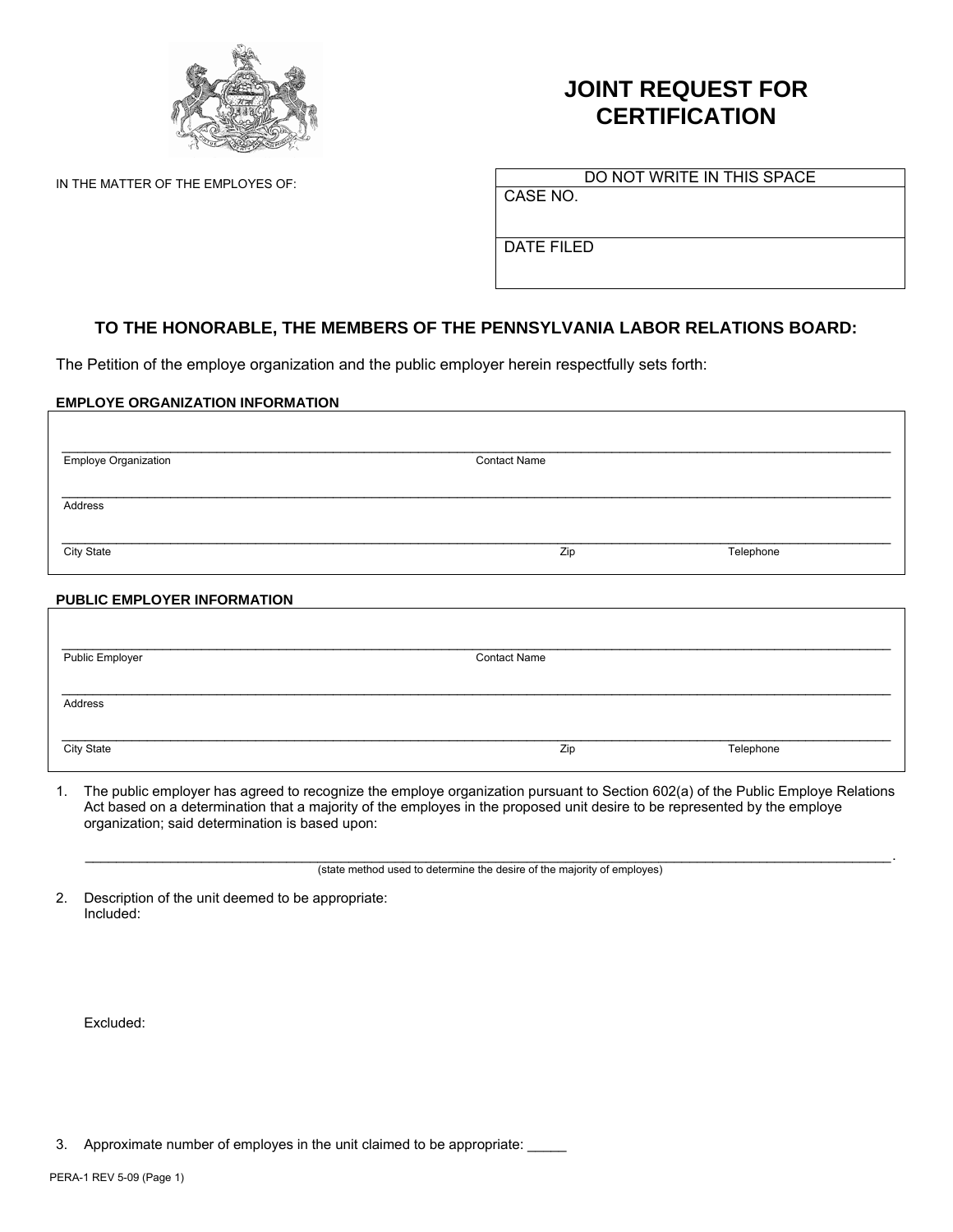

# **JOINT REQUEST FOR CERTIFICATION**

IN THE MATTER OF THE EMPLOYES OF:

DO NOT WRITE IN THIS SPACE

CASE NO.

DATE FILED

## **TO THE HONORABLE, THE MEMBERS OF THE PENNSYLVANIA LABOR RELATIONS BOARD:**

The Petition of the employe organization and the public employer herein respectfully sets forth:

### **EMPLOYE ORGANIZATION INFORMATION**

| <b>Employe Organization</b> | <b>Contact Name</b> |           |
|-----------------------------|---------------------|-----------|
|                             |                     |           |
| Address                     |                     |           |
| City State                  | Zip                 | Telephone |
|                             |                     |           |

### **PUBLIC EMPLOYER INFORMATION**

| Public Employer | <b>Contact Name</b> |           |
|-----------------|---------------------|-----------|
|                 |                     |           |
| Address         |                     |           |
|                 |                     |           |
| City State      | Zip                 | Telephone |
|                 |                     |           |

1. The public employer has agreed to recognize the employe organization pursuant to Section 602(a) of the Public Employe Relations Act based on a determination that a majority of the employes in the proposed unit desire to be represented by the employe organization; said determination is based upon:

(state method used to determine the desire of the majority of employes)

2. Description of the unit deemed to be appropriate: Included:

Excluded:

3. Approximate number of employes in the unit claimed to be appropriate: